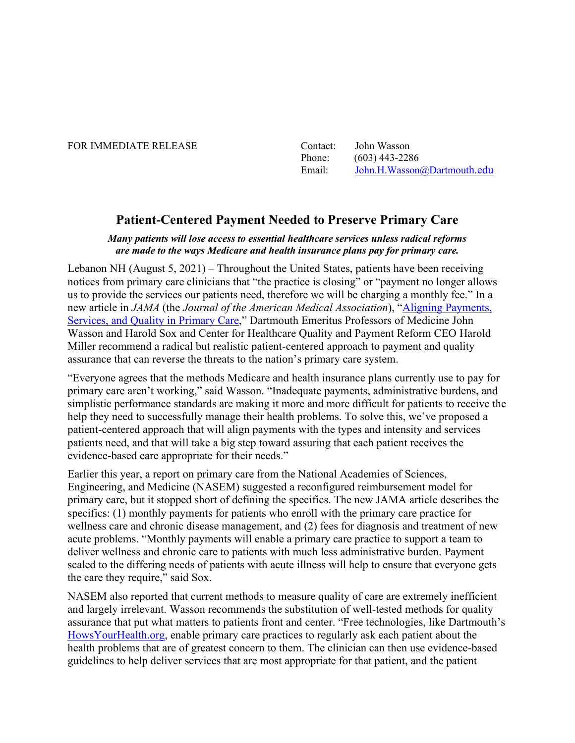#### FOR IMMEDIATE RELEASE

| Contact: | John Wasson                 |
|----------|-----------------------------|
| Phone:   | $(603)$ 443-2286            |
| Email:   | John.H.Wasson@Dartmouth.edu |

# **Patient-Centered Payment Needed to Preserve Primary Care**

#### *Many patients will lose access to essential healthcare services unless radical reforms are made to the ways Medicare and health insurance plans pay for primary care.*

Lebanon NH (August 5, 2021) – Throughout the United States, patients have been receiving notices from primary care clinicians that "the practice is closing" or "payment no longer allows us to provide the services our patients need, therefore we will be charging a monthly fee." In a new article in *JAMA* (the *Journal of the American Medical Association*), "[Aligning Payments,](https://jamanetwork.com/journals/jama/fullarticle/10.1001/jama.2021.12775?guestAccessKey=8ed9c75f-c9c2-443d-aab4-8572ae16734c&utm_source=For_The_Media&utm_medium=referral&utm_campaign=ftm_links&utm_content=tfl&utm_term=080521)  [Services, and Quality in Primary Care](https://jamanetwork.com/journals/jama/fullarticle/10.1001/jama.2021.12775?guestAccessKey=8ed9c75f-c9c2-443d-aab4-8572ae16734c&utm_source=For_The_Media&utm_medium=referral&utm_campaign=ftm_links&utm_content=tfl&utm_term=080521)," Dartmouth Emeritus Professors of Medicine John Wasson and Harold Sox and Center for Healthcare Quality and Payment Reform CEO Harold Miller recommend a radical but realistic patient-centered approach to payment and quality assurance that can reverse the threats to the nation's primary care system.

"Everyone agrees that the methods Medicare and health insurance plans currently use to pay for primary care aren't working," said Wasson. "Inadequate payments, administrative burdens, and simplistic performance standards are making it more and more difficult for patients to receive the help they need to successfully manage their health problems. To solve this, we've proposed a patient-centered approach that will align payments with the types and intensity and services patients need, and that will take a big step toward assuring that each patient receives the evidence-based care appropriate for their needs."

Earlier this year, a report on primary care from the National Academies of Sciences, Engineering, and Medicine (NASEM) suggested a reconfigured reimbursement model for primary care, but it stopped short of defining the specifics. The new JAMA article describes the specifics: (1) monthly payments for patients who enroll with the primary care practice for wellness care and chronic disease management, and (2) fees for diagnosis and treatment of new acute problems. "Monthly payments will enable a primary care practice to support a team to deliver wellness and chronic care to patients with much less administrative burden. Payment scaled to the differing needs of patients with acute illness will help to ensure that everyone gets the care they require," said Sox.

NASEM also reported that current methods to measure quality of care are extremely inefficient and largely irrelevant. Wasson recommends the substitution of well-tested methods for quality assurance that put what matters to patients front and center. "Free technologies, like Dartmouth's [HowsYourHealth.org,](https://howsyourhealth.org/) enable primary care practices to regularly ask each patient about the health problems that are of greatest concern to them. The clinician can then use evidence-based guidelines to help deliver services that are most appropriate for that patient, and the patient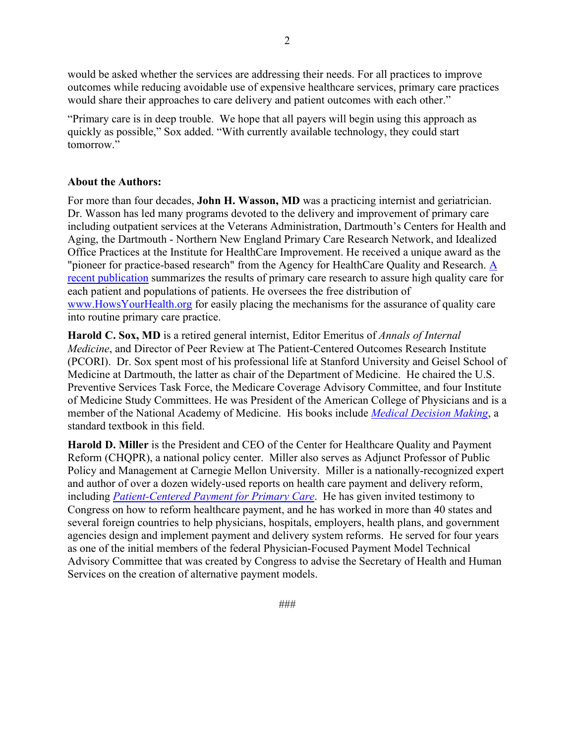would be asked whether the services are addressing their needs. For all practices to improve outcomes while reducing avoidable use of expensive healthcare services, primary care practices would share their approaches to care delivery and patient outcomes with each other."

"Primary care is in deep trouble. We hope that all payers will begin using this approach as quickly as possible," Sox added. "With currently available technology, they could start tomorrow."

### **About the Authors:**

For more than four decades, **John H. Wasson, MD** was a practicing internist and geriatrician. Dr. Wasson has led many programs devoted to the delivery and improvement of primary care including outpatient services at the Veterans Administration, Dartmouth's Centers for Health and Aging, the Dartmouth - Northern New England Primary Care Research Network, and Idealized Office Practices at the Institute for HealthCare Improvement. He received a unique award as the "pioneer for practice-based research" from the Agency for HealthCare Quality and Research. [A](https://doi.org/10.1007/s11136-020-02528-z)  [recent publication](https://doi.org/10.1007/s11136-020-02528-z) summarizes the results of primary care research to assure high quality care for each patient and populations of patients. He oversees the free distribution of [www.HowsYourHealth.org](http://www.howsyourhealth.org/) for easily placing the mechanisms for the assurance of quality care into routine primary care practice.

**Harold C. Sox, MD** is a retired general internist, Editor Emeritus of *Annals of Internal Medicine*, and Director of Peer Review at The Patient-Centered Outcomes Research Institute (PCORI). Dr. Sox spent most of his professional life at Stanford University and Geisel School of Medicine at Dartmouth, the latter as chair of the Department of Medicine. He chaired the U.S. Preventive Services Task Force, the Medicare Coverage Advisory Committee, and four Institute of Medicine Study Committees. He was President of the American College of Physicians and is a member of the National Academy of Medicine. His books include *[Medical Decision Making](https://www.amazon.com/Medical-Decision-Making-Harold-Sox/dp/0470658665)*, a standard textbook in this field.

**Harold D. Miller** is the President and CEO of the Center for Healthcare Quality and Payment Reform (CHQPR), a national policy center. Miller also serves as Adjunct Professor of Public Policy and Management at Carnegie Mellon University. Miller is a nationally-recognized expert and author of over a dozen widely-used reports on health care payment and delivery reform, including *[Patient-Centered Payment for Primary Care](https://www.chqpr.org/downloads/Patient-Centered_Primary_Care_Payment.pdf)*. He has given invited testimony to Congress on how to reform healthcare payment, and he has worked in more than 40 states and several foreign countries to help physicians, hospitals, employers, health plans, and government agencies design and implement payment and delivery system reforms. He served for four years as one of the initial members of the federal Physician-Focused Payment Model Technical Advisory Committee that was created by Congress to advise the Secretary of Health and Human Services on the creation of alternative payment models.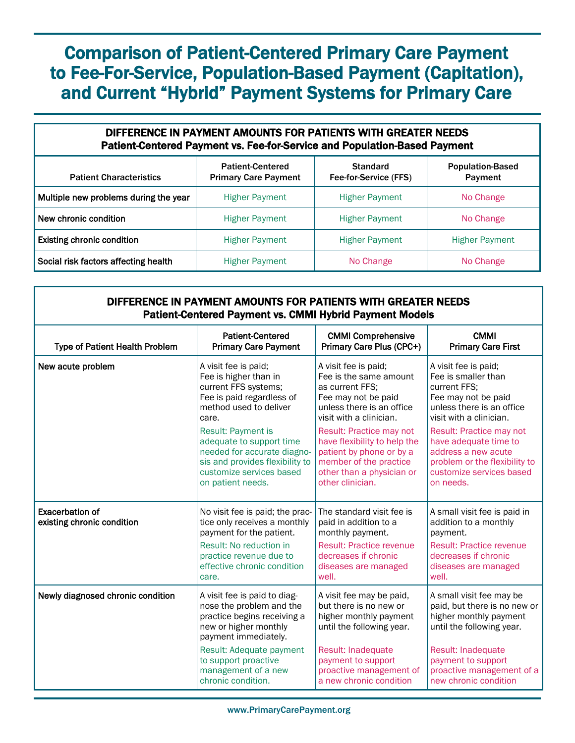# Comparison of Patient-Centered Primary Care Payment to Fee-For-Service, Population-Based Payment (Capitation), and Current "Hybrid" Payment Systems for Primary Care

#### DIFFERENCE IN PAYMENT AMOUNTS FOR PATIENTS WITH GREATER NEEDS Patient-Centered Payment vs. Fee-for-Service and Population-Based Payment Patient Characteristics Patient-Centered Primary Care Payment **Standard** Fee-for-Service (FFS) Population-Based Payment **Multiple new problems during the year** Higher Payment Higher Payment No Change New chronic condition **Higher Payment** Higher Payment Higher Payment No Change **Existing chronic condition Higher Payment** Higher Payment Higher Payment Higher Payment Social risk factors affecting health  $\parallel$  Higher Payment  $\parallel$  No Change No Change

## DIFFERENCE IN PAYMENT AMOUNTS FOR PATIENTS WITH GREATER NEEDS Patient-Centered Payment vs. CMMI Hybrid Payment Models

| <b>Patient-Centered</b><br><b>Type of Patient Health Problem</b><br><b>Primary Care Payment</b> |                                                                                                                                          | <b>CMMI Comprehensive</b><br>Primary Care Plus (CPC+)                                                     | <b>CMMI</b><br><b>Primary Care First</b>                                                                        |  |
|-------------------------------------------------------------------------------------------------|------------------------------------------------------------------------------------------------------------------------------------------|-----------------------------------------------------------------------------------------------------------|-----------------------------------------------------------------------------------------------------------------|--|
| New acute problem                                                                               | A visit fee is paid;                                                                                                                     | A visit fee is paid;                                                                                      | A visit fee is paid;                                                                                            |  |
|                                                                                                 | Fee is higher than in                                                                                                                    | Fee is the same amount                                                                                    | Fee is smaller than                                                                                             |  |
|                                                                                                 | current FFS systems;                                                                                                                     | as current FFS:                                                                                           | current FFS:                                                                                                    |  |
|                                                                                                 | Fee is paid regardless of                                                                                                                | Fee may not be paid                                                                                       | Fee may not be paid                                                                                             |  |
|                                                                                                 | method used to deliver                                                                                                                   | unless there is an office                                                                                 | unless there is an office                                                                                       |  |
|                                                                                                 | care.                                                                                                                                    | visit with a clinician.                                                                                   | visit with a clinician.                                                                                         |  |
|                                                                                                 | <b>Result: Payment is</b>                                                                                                                | Result: Practice may not                                                                                  | Result: Practice may not                                                                                        |  |
|                                                                                                 | adequate to support time                                                                                                                 | have flexibility to help the                                                                              | have adequate time to                                                                                           |  |
|                                                                                                 | needed for accurate diagno-                                                                                                              | patient by phone or by a                                                                                  | address a new acute                                                                                             |  |
|                                                                                                 | sis and provides flexibility to                                                                                                          | member of the practice                                                                                    | problem or the flexibility to                                                                                   |  |
|                                                                                                 | customize services based                                                                                                                 | other than a physician or                                                                                 | customize services based                                                                                        |  |
|                                                                                                 | on patient needs.                                                                                                                        | other clinician.                                                                                          | on needs.                                                                                                       |  |
| <b>Exacerbation of</b><br>existing chronic condition                                            | No visit fee is paid; the prac-<br>tice only receives a monthly<br>payment for the patient.                                              | The standard visit fee is<br>paid in addition to a<br>monthly payment.                                    | A small visit fee is paid in<br>addition to a monthly<br>payment.                                               |  |
|                                                                                                 | Result: No reduction in                                                                                                                  | <b>Result: Practice revenue</b>                                                                           | <b>Result: Practice revenue</b>                                                                                 |  |
|                                                                                                 | practice revenue due to                                                                                                                  | decreases if chronic                                                                                      | decreases if chronic                                                                                            |  |
|                                                                                                 | effective chronic condition                                                                                                              | diseases are managed                                                                                      | diseases are managed                                                                                            |  |
|                                                                                                 | care.                                                                                                                                    | well.                                                                                                     | well.                                                                                                           |  |
| Newly diagnosed chronic condition                                                               | A visit fee is paid to diag-<br>nose the problem and the<br>practice begins receiving a<br>new or higher monthly<br>payment immediately. | A visit fee may be paid,<br>but there is no new or<br>higher monthly payment<br>until the following year. | A small visit fee may be<br>paid, but there is no new or<br>higher monthly payment<br>until the following year. |  |
|                                                                                                 | Result: Adequate payment                                                                                                                 | Result: Inadequate                                                                                        | Result: Inadequate                                                                                              |  |
|                                                                                                 | to support proactive                                                                                                                     | payment to support                                                                                        | payment to support                                                                                              |  |
|                                                                                                 | management of a new                                                                                                                      | proactive management of                                                                                   | proactive management of a                                                                                       |  |
|                                                                                                 | chronic condition.                                                                                                                       | a new chronic condition                                                                                   | new chronic condition                                                                                           |  |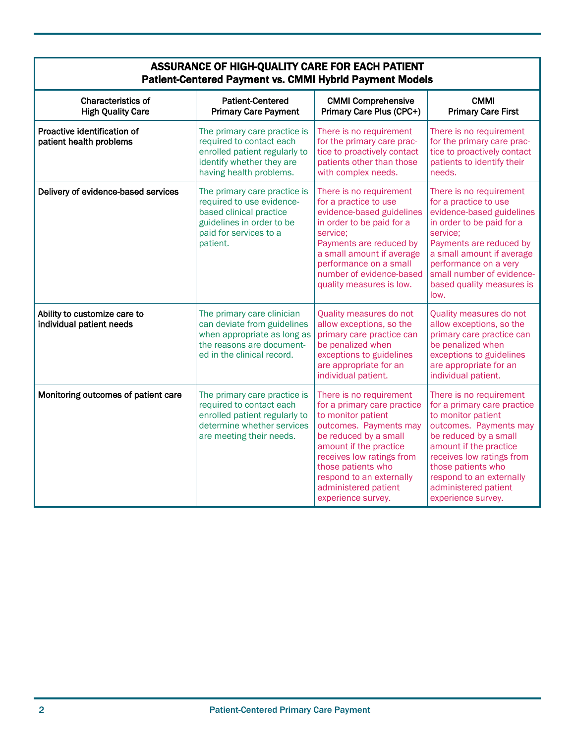| ASSURANCE OF HIGH-QUALITY CARE FOR EACH PATIENT<br><b>Patient-Centered Payment vs. CMMI Hybrid Payment Models</b> |                                                                                                                                                         |                                                                                                                                                                                                                                                                                        |                                                                                                                                                                                                                                                                                        |  |  |
|-------------------------------------------------------------------------------------------------------------------|---------------------------------------------------------------------------------------------------------------------------------------------------------|----------------------------------------------------------------------------------------------------------------------------------------------------------------------------------------------------------------------------------------------------------------------------------------|----------------------------------------------------------------------------------------------------------------------------------------------------------------------------------------------------------------------------------------------------------------------------------------|--|--|
| <b>Characteristics of</b><br><b>High Quality Care</b>                                                             | <b>Patient-Centered</b><br><b>Primary Care Payment</b>                                                                                                  | <b>CMMI Comprehensive</b><br>Primary Care Plus (CPC+)                                                                                                                                                                                                                                  | <b>CMMI</b><br><b>Primary Care First</b>                                                                                                                                                                                                                                               |  |  |
| Proactive identification of<br>patient health problems                                                            | The primary care practice is<br>required to contact each<br>enrolled patient regularly to<br>identify whether they are<br>having health problems.       | There is no requirement<br>for the primary care prac-<br>tice to proactively contact<br>patients other than those<br>with complex needs.                                                                                                                                               | There is no requirement<br>for the primary care prac-<br>tice to proactively contact<br>patients to identify their<br>needs.                                                                                                                                                           |  |  |
| Delivery of evidence-based services                                                                               | The primary care practice is<br>required to use evidence-<br>based clinical practice<br>guidelines in order to be<br>paid for services to a<br>patient. | There is no requirement<br>for a practice to use<br>evidence-based guidelines<br>in order to be paid for a<br>service:<br>Payments are reduced by<br>a small amount if average<br>performance on a small<br>number of evidence-based<br>quality measures is low.                       | There is no requirement<br>for a practice to use<br>evidence-based guidelines<br>in order to be paid for a<br>service;<br>Payments are reduced by<br>a small amount if average<br>performance on a very<br>small number of evidence-<br>based quality measures is<br>low.              |  |  |
| Ability to customize care to<br>individual patient needs                                                          | The primary care clinician<br>can deviate from guidelines<br>when appropriate as long as<br>the reasons are document-<br>ed in the clinical record.     | Quality measures do not<br>allow exceptions, so the<br>primary care practice can<br>be penalized when<br>exceptions to guidelines<br>are appropriate for an<br>individual patient.                                                                                                     | Quality measures do not<br>allow exceptions, so the<br>primary care practice can<br>be penalized when<br>exceptions to guidelines<br>are appropriate for an<br>individual patient.                                                                                                     |  |  |
| Monitoring outcomes of patient care                                                                               | The primary care practice is<br>required to contact each<br>enrolled patient regularly to<br>determine whether services<br>are meeting their needs.     | There is no requirement<br>for a primary care practice<br>to monitor patient<br>outcomes. Payments may<br>be reduced by a small<br>amount if the practice<br>receives low ratings from<br>those patients who<br>respond to an externally<br>administered patient<br>experience survey. | There is no requirement<br>for a primary care practice<br>to monitor patient<br>outcomes. Payments may<br>be reduced by a small<br>amount if the practice<br>receives low ratings from<br>those patients who<br>respond to an externally<br>administered patient<br>experience survey. |  |  |